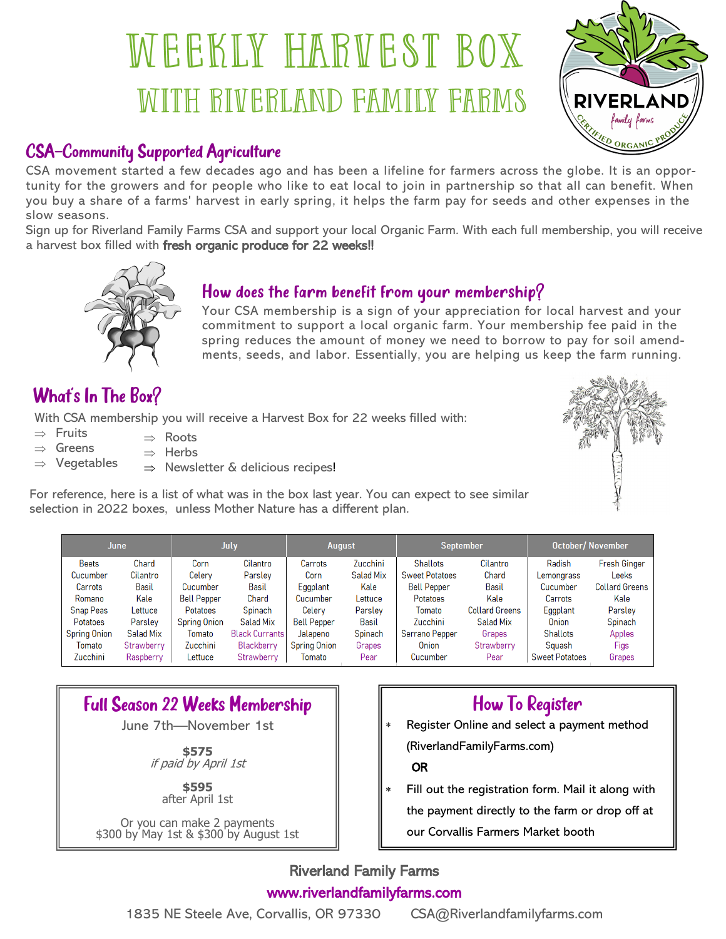# WEEKLY HARVEST BOX WITH RIVERLAND FAMILY FARMS



#### CSA—Community Supported Agriculture

CSA movement started a few decades ago and has been a lifeline for farmers across the globe. It is an opportunity for the growers and for people who like to eat local to join in partnership so that all can benefit. When you buy a share of a farms' harvest in early spring, it helps the farm pay for seeds and other expenses in the slow seasons.

Sign up for Riverland Family Farms CSA and support your local Organic Farm. With each full membership, you will receive a harvest box filled with fresh organic produce for 22 weeks!!



#### How does the farm benefit from your membership?

Your CSA membership is a sign of your appreciation for local harvest and your commitment to support a local organic farm. Your membership fee paid in the spring reduces the amount of money we need to borrow to pay for soil amendments, seeds, and labor. Essentially, you are helping us keep the farm running.

# What's In The Box?

With CSA membership you will receive a Harvest Box for 22 weeks filled with:

- $\Rightarrow$  Fruits  $\Rightarrow$  Roots
- $\Rightarrow$  Greens  $\Rightarrow$  Herbs
- $\Rightarrow$  Vegetables  $\Rightarrow$  Newsletter & delicious recipes!



For reference, here is a list of what was in the box last year. You can expect to see similar selection in 2022 boxes, unless Mother Nature has a different plan.

| June                |            | <b>July</b>         |                       | <b>August</b>       |           | September             |                       | <b>October/November</b> |                       |
|---------------------|------------|---------------------|-----------------------|---------------------|-----------|-----------------------|-----------------------|-------------------------|-----------------------|
| <b>Beets</b>        | Chard      | Corn                | Cilantro              | Carrots             | Zucchini  | <b>Shallots</b>       | Cilantro              | Radish                  | <b>Fresh Ginger</b>   |
| Cucumber            | Cilantro   | Celery              | Parsley               | Corn                | Salad Mix | <b>Sweet Potatoes</b> | Chard                 | Lemongrass              | <b>Leeks</b>          |
| Carrots             | Basil      | Cucumber            | Basil                 | Eggplant            | Kale      | <b>Bell Pepper</b>    | Basil                 | Cucumber                | <b>Collard Greens</b> |
| Romano              | Kale       | <b>Bell Pepper</b>  | Chard                 | Cucumber            | Lettuce   | <b>Potatoes</b>       | Kale                  | Carrots                 | Kale                  |
| <b>Snap Peas</b>    | Lettuce    | Potatoes            | Spinach               | Celery              | Parsley   | Tomato                | <b>Collard Greens</b> | Eggplant                | Parsley               |
| Potatoes            | Parsley    | <b>Spring Onion</b> | Salad Mix             | <b>Bell Pepper</b>  | Basil     | Zucchini              | Salad Mix             | Onion                   | Spinach               |
| <b>Spring Onion</b> | Salad Mix  | Tomato              | <b>Black Currants</b> | Jalapeno            | Spinach   | Serrano Pepper        | Grapes                | <b>Shallots</b>         | Apples                |
| Tomato              | Strawberry | Zucchini            | Blackberry            | <b>Spring Onion</b> | Grapes    | <b>Onion</b>          | Strawberry            | Sauash                  | Figs                  |
| Zucchini            | Raspberry  | Lettuce             | Strawberry            | Tomato              | Pear      | Cucumber              | Pear                  | <b>Sweet Potatoes</b>   | Grapes                |

# Full Season 22 Weeks Membership

June 7th—November 1st

**\$575** if paid by April 1st

> **\$595** after April 1st

Or you can make 2 payments \$300 by May 1st & \$300 by August 1st

## How To Register

 Register Online and select a payment method (RiverlandFamilyFarms.com)

#### OR

 Fill out the registration form. Mail it along with the payment directly to the farm or drop off at our Corvallis Farmers Market booth

#### Riverland Family Farms www.riverlandfamilyfarms.com

1835 NE Steele Ave, Corvallis, OR 97330 CSA@Riverlandfamilyfarms.com